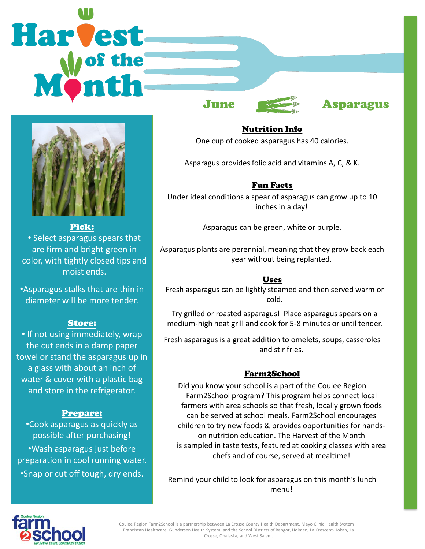# Harvest June **Asparagus**



### Pick:

• Select asparagus spears that are firm and bright green in color, with tightly closed tips and moist ends.

•Asparagus stalks that are thin in diameter will be more tender.

### Store:

• If not using immediately, wrap the cut ends in a damp paper towel or stand the asparagus up in a glass with about an inch of water & cover with a plastic bag and store in the refrigerator.

### Prepare:

•Cook asparagus as quickly as possible after purchasing! •Wash asparagus just before preparation in cool running water. •Snap or cut off tough, dry ends.

Nutrition Info

One cup of cooked asparagus has 40 calories.

Asparagus provides folic acid and vitamins A, C, & K.

# Fun Facts

Under ideal conditions a spear of asparagus can grow up to 10 inches in a day!

Asparagus can be green, white or purple.

Asparagus plants are perennial, meaning that they grow back each year without being replanted.

## Uses

Fresh asparagus can be lightly steamed and then served warm or cold.

Try grilled or roasted asparagus! Place asparagus spears on a medium-high heat grill and cook for 5-8 minutes or until tender.

Fresh asparagus is a great addition to omelets, soups, casseroles and stir fries.

# Farm2School

Did you know your school is a part of the Coulee Region Farm2School program? This program helps connect local farmers with area schools so that fresh, locally grown foods can be served at school meals. Farm2School encourages children to try new foods & provides opportunities for handson nutrition education. The Harvest of the Month is sampled in taste tests, featured at cooking classes with area chefs and of course, served at mealtime!

Remind your child to look for asparagus on this month's lunch menu!



Coulee Region Farm2School is a partnership between La Crosse County Health Department, Mayo Clinic Health System – Franciscan Healthcare, Gundersen Health System, and the School Districts of Bangor, Holmen, La Crescent-Hokah, La Crosse, Onalaska, and West Salem.